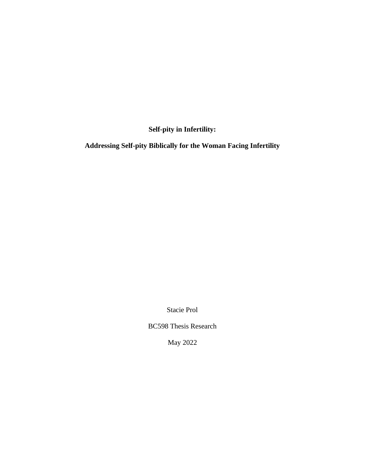**Self-pity in Infertility:**

**Addressing Self-pity Biblically for the Woman Facing Infertility**

Stacie Prol

BC598 Thesis Research

May 2022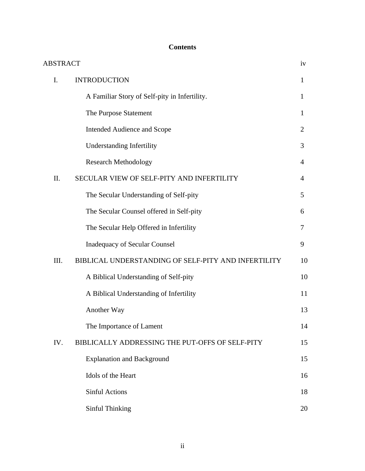# **Contents**

| <b>ABSTRACT</b> |                                                     | iv             |
|-----------------|-----------------------------------------------------|----------------|
| I.              | <b>INTRODUCTION</b>                                 | $\mathbf{1}$   |
|                 | A Familiar Story of Self-pity in Infertility.       | $\mathbf{1}$   |
|                 | The Purpose Statement                               | 1              |
|                 | Intended Audience and Scope                         | 2              |
|                 | <b>Understanding Infertility</b>                    | 3              |
|                 | <b>Research Methodology</b>                         | $\overline{4}$ |
| II.             | SECULAR VIEW OF SELF-PITY AND INFERTILITY           | 4              |
|                 | The Secular Understanding of Self-pity              | 5              |
|                 | The Secular Counsel offered in Self-pity            | 6              |
|                 | The Secular Help Offered in Infertility             | 7              |
|                 | <b>Inadequacy of Secular Counsel</b>                | 9              |
| III.            | BIBLICAL UNDERSTANDING OF SELF-PITY AND INFERTILITY | 10             |
|                 | A Biblical Understanding of Self-pity               | 10             |
|                 | A Biblical Understanding of Infertility             | 11             |
|                 | Another Way                                         | 13             |
|                 | The Importance of Lament                            | 14             |
| IV.             | BIBLICALLY ADDRESSING THE PUT-OFFS OF SELF-PITY     | 15             |
|                 | <b>Explanation and Background</b>                   | 15             |
|                 | Idols of the Heart                                  | 16             |
|                 | <b>Sinful Actions</b>                               | 18             |
|                 | Sinful Thinking                                     | 20             |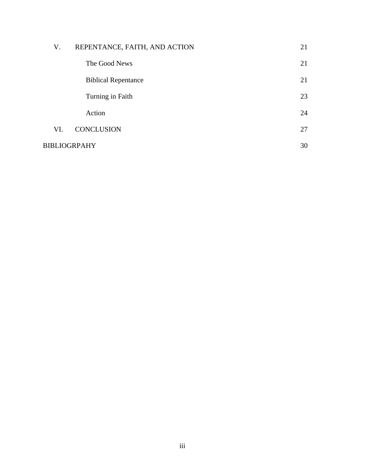| V.                  | REPENTANCE, FAITH, AND ACTION | 21 |
|---------------------|-------------------------------|----|
|                     | The Good News                 | 21 |
|                     | <b>Biblical Repentance</b>    | 21 |
|                     | Turning in Faith              | 23 |
|                     | Action                        | 24 |
| VI.                 | <b>CONCLUSION</b>             | 27 |
| <b>BIBLIOGRPAHY</b> |                               |    |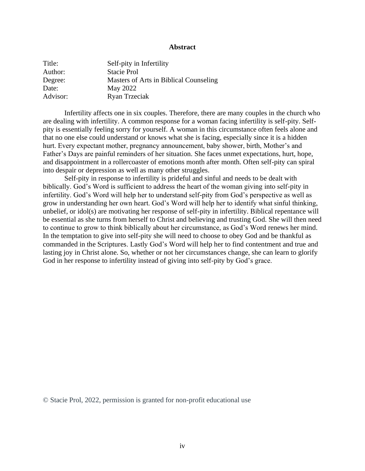#### **Abstract**

| Title:   | Self-pity in Infertility               |
|----------|----------------------------------------|
| Author:  | Stacie Prol                            |
| Degree:  | Masters of Arts in Biblical Counseling |
| Date:    | May 2022                               |
| Advisor: | Ryan Trzeciak                          |

Infertility affects one in six couples. Therefore, there are many couples in the church who are dealing with infertility. A common response for a woman facing infertility is self-pity. Selfpity is essentially feeling sorry for yourself. A woman in this circumstance often feels alone and that no one else could understand or knows what she is facing, especially since it is a hidden hurt. Every expectant mother, pregnancy announcement, baby shower, birth, Mother's and Father's Days are painful reminders of her situation. She faces unmet expectations, hurt, hope, and disappointment in a rollercoaster of emotions month after month. Often self-pity can spiral into despair or depression as well as many other struggles.

Self-pity in response to infertility is prideful and sinful and needs to be dealt with biblically. God's Word is sufficient to address the heart of the woman giving into self-pity in infertility. God's Word will help her to understand self-pity from God's perspective as well as grow in understanding her own heart. God's Word will help her to identify what sinful thinking, unbelief, or idol(s) are motivating her response of self-pity in infertility. Biblical repentance will be essential as she turns from herself to Christ and believing and trusting God. She will then need to continue to grow to think biblically about her circumstance, as God's Word renews her mind. In the temptation to give into self-pity she will need to choose to obey God and be thankful as commanded in the Scriptures. Lastly God's Word will help her to find contentment and true and lasting joy in Christ alone. So, whether or not her circumstances change, she can learn to glorify God in her response to infertility instead of giving into self-pity by God's grace.

© Stacie Prol, 2022, permission is granted for non-profit educational use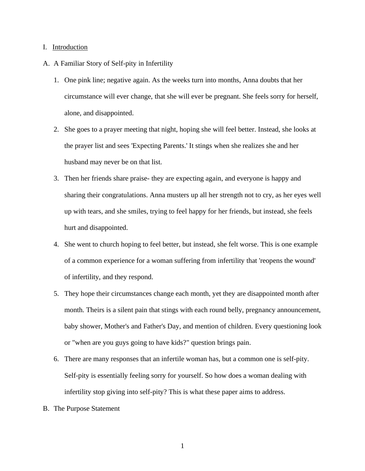# I. Introduction

- A. A Familiar Story of Self-pity in Infertility
	- 1. One pink line; negative again. As the weeks turn into months, Anna doubts that her circumstance will ever change, that she will ever be pregnant. She feels sorry for herself, alone, and disappointed.
	- 2. She goes to a prayer meeting that night, hoping she will feel better. Instead, she looks at the prayer list and sees 'Expecting Parents.' It stings when she realizes she and her husband may never be on that list.
	- 3. Then her friends share praise- they are expecting again, and everyone is happy and sharing their congratulations. Anna musters up all her strength not to cry, as her eyes well up with tears, and she smiles, trying to feel happy for her friends, but instead, she feels hurt and disappointed.
	- 4. She went to church hoping to feel better, but instead, she felt worse. This is one example of a common experience for a woman suffering from infertility that 'reopens the wound' of infertility, and they respond.
	- 5. They hope their circumstances change each month, yet they are disappointed month after month. Theirs is a silent pain that stings with each round belly, pregnancy announcement, baby shower, Mother's and Father's Day, and mention of children. Every questioning look or "when are you guys going to have kids?" question brings pain.
	- 6. There are many responses that an infertile woman has, but a common one is self-pity. Self-pity is essentially feeling sorry for yourself. So how does a woman dealing with infertility stop giving into self-pity? This is what these paper aims to address.
- B. The Purpose Statement

1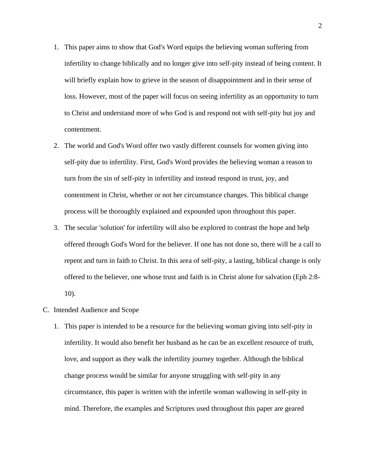- 1. This paper aims to show that God's Word equips the believing woman suffering from infertility to change biblically and no longer give into self-pity instead of being content. It will briefly explain how to grieve in the season of disappointment and in their sense of loss. However, most of the paper will focus on seeing infertility as an opportunity to turn to Christ and understand more of who God is and respond not with self-pity but joy and contentment.
- 2. The world and God's Word offer two vastly different counsels for women giving into self-pity due to infertility. First, God's Word provides the believing woman a reason to turn from the sin of self-pity in infertility and instead respond in trust, joy, and contentment in Christ, whether or not her circumstance changes. This biblical change process will be thoroughly explained and expounded upon throughout this paper.
- 3. The secular 'solution' for infertility will also be explored to contrast the hope and help offered through God's Word for the believer. If one has not done so, there will be a call to repent and turn in faith to Christ. In this area of self-pity, a lasting, biblical change is only offered to the believer, one whose trust and faith is in Christ alone for salvation (Eph 2:8- 10).
- C. Intended Audience and Scope
	- 1. This paper is intended to be a resource for the believing woman giving into self-pity in infertility. It would also benefit her husband as he can be an excellent resource of truth, love, and support as they walk the infertility journey together. Although the biblical change process would be similar for anyone struggling with self-pity in any circumstance, this paper is written with the infertile woman wallowing in self-pity in mind. Therefore, the examples and Scriptures used throughout this paper are geared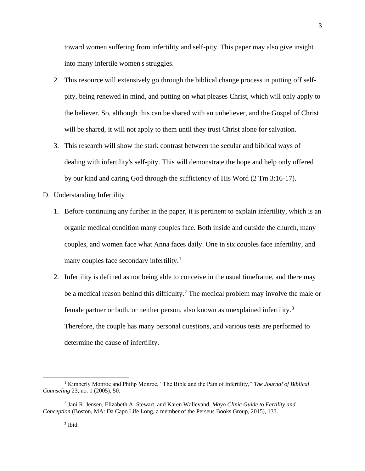toward women suffering from infertility and self-pity. This paper may also give insight into many infertile women's struggles.

- 2. This resource will extensively go through the biblical change process in putting off selfpity, being renewed in mind, and putting on what pleases Christ, which will only apply to the believer. So, although this can be shared with an unbeliever, and the Gospel of Christ will be shared, it will not apply to them until they trust Christ alone for salvation.
- 3. This research will show the stark contrast between the secular and biblical ways of dealing with infertility's self-pity. This will demonstrate the hope and help only offered by our kind and caring God through the sufficiency of His Word (2 Tm 3:16-17).
- D. Understanding Infertility
	- 1. Before continuing any further in the paper, it is pertinent to explain infertility, which is an organic medical condition many couples face. Both inside and outside the church, many couples, and women face what Anna faces daily. One in six couples face infertility, and many couples face secondary infertility.<sup>1</sup>
	- 2. Infertility is defined as not being able to conceive in the usual timeframe, and there may be a medical reason behind this difficulty.<sup>2</sup> The medical problem may involve the male or female partner or both, or neither person, also known as unexplained infertility.<sup>3</sup> Therefore, the couple has many personal questions, and various tests are performed to determine the cause of infertility.

<sup>1</sup> Kimberly Monroe and Philip Monroe, "The Bible and the Pain of Infertility," *The Journal of Biblical Counseling* 23, no. 1 (2005), 50.

<sup>2</sup> Jani R. Jensen, Elizabeth A. Stewart, and Karen Wallevand, *Mayo Clinic Guide to Fertility and Conception* (Boston, MA: Da Capo Life Long, a member of the Perseus Books Group, 2015), 133.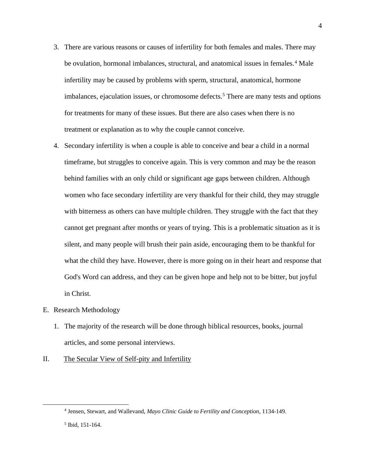- 3. There are various reasons or causes of infertility for both females and males. There may be ovulation, hormonal imbalances, structural, and anatomical issues in females.<sup>4</sup> Male infertility may be caused by problems with sperm, structural, anatomical, hormone imbalances, ejaculation issues, or chromosome defects.<sup>5</sup> There are many tests and options for treatments for many of these issues. But there are also cases when there is no treatment or explanation as to why the couple cannot conceive.
- 4. Secondary infertility is when a couple is able to conceive and bear a child in a normal timeframe, but struggles to conceive again. This is very common and may be the reason behind families with an only child or significant age gaps between children. Although women who face secondary infertility are very thankful for their child, they may struggle with bitterness as others can have multiple children. They struggle with the fact that they cannot get pregnant after months or years of trying. This is a problematic situation as it is silent, and many people will brush their pain aside, encouraging them to be thankful for what the child they have. However, there is more going on in their heart and response that God's Word can address, and they can be given hope and help not to be bitter, but joyful in Christ.
- E. Research Methodology
	- 1. The majority of the research will be done through biblical resources, books, journal articles, and some personal interviews.
- II. The Secular View of Self-pity and Infertility

<sup>4</sup> Jensen, Stewart, and Wallevand, *Mayo Clinic Guide to Fertility and Conception*, 1134-149.

<sup>5</sup> Ibid, 151-164.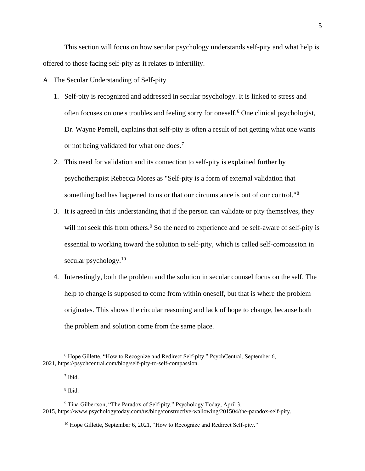This section will focus on how secular psychology understands self-pity and what help is offered to those facing self-pity as it relates to infertility.

A. The Secular Understanding of Self-pity

- 1. Self-pity is recognized and addressed in secular psychology. It is linked to stress and often focuses on one's troubles and feeling sorry for oneself.<sup>6</sup> One clinical psychologist, Dr. Wayne Pernell, explains that self-pity is often a result of not getting what one wants or not being validated for what one does.<sup>7</sup>
- 2. This need for validation and its connection to self-pity is explained further by psychotherapist Rebecca Mores as "Self-pity is a form of external validation that something bad has happened to us or that our circumstance is out of our control."<sup>8</sup>
- 3. It is agreed in this understanding that if the person can validate or pity themselves, they will not seek this from others.<sup>9</sup> So the need to experience and be self-aware of self-pity is essential to working toward the solution to self-pity, which is called self-compassion in secular psychology.<sup>10</sup>
- 4. Interestingly, both the problem and the solution in secular counsel focus on the self. The help to change is supposed to come from within oneself, but that is where the problem originates. This shows the circular reasoning and lack of hope to change, because both the problem and solution come from the same place.

8 Ibid.

<sup>6</sup> Hope Gillette, "How to Recognize and Redirect Self-pity." PsychCentral, September 6, 2021, [https://psychcentral.com/blog/self-pity-to-self-compassion.](https://psychcentral.com/blog/self-pity-to-self-compassion)

<sup>7</sup> Ibid.

<sup>9</sup> Tina Gilbertson, "The Paradox of Self-pity." Psychology Today, April 3, 2015, [https://www.psychologytoday.com/us/blog/constructive-wallowing/201504/the-paradox-self-pity.](https://www.psychologytoday.com/us/blog/constructive-wallowing/201504/the-paradox-self-pity)

<sup>&</sup>lt;sup>10</sup> Hope Gillette, September 6, 2021, "How to Recognize and Redirect Self-pity."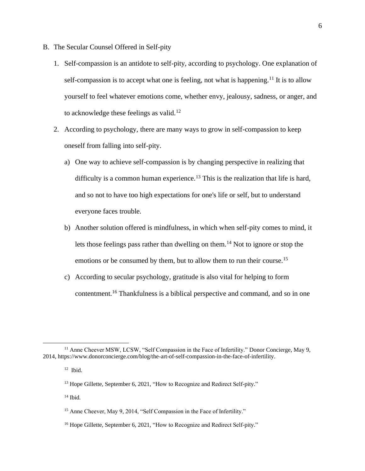- B. The Secular Counsel Offered in Self-pity
	- 1. Self-compassion is an antidote to self-pity, according to psychology. One explanation of self-compassion is to accept what one is feeling, not what is happening.<sup>11</sup> It is to allow yourself to feel whatever emotions come, whether envy, jealousy, sadness, or anger, and to acknowledge these feelings as valid.<sup>12</sup>
	- 2. According to psychology, there are many ways to grow in self-compassion to keep oneself from falling into self-pity.
		- a) One way to achieve self-compassion is by changing perspective in realizing that difficulty is a common human experience.<sup>13</sup> This is the realization that life is hard, and so not to have too high expectations for one's life or self, but to understand everyone faces trouble.
		- b) Another solution offered is mindfulness, in which when self-pity comes to mind, it lets those feelings pass rather than dwelling on them.<sup>14</sup> Not to ignore or stop the emotions or be consumed by them, but to allow them to run their course.<sup>15</sup>
		- c) According to secular psychology, gratitude is also vital for helping to form contentment.<sup>16</sup> Thankfulness is a biblical perspective and command, and so in one

<sup>&</sup>lt;sup>11</sup> Anne Cheever MSW, LCSW, "Self Compassion in the Face of Infertility." Donor Concierge, May 9, 2014, [https://www.donorconcierge.com/blog/the-art-of-self-compassion-in-the-face-of-infertility.](https://www.donorconcierge.com/blog/the-art-of-self-compassion-in-the-face-of-infertility)

<sup>12</sup> Ibid.

<sup>&</sup>lt;sup>13</sup> Hope Gillette, September 6, 2021, "How to Recognize and Redirect Self-pity."

 $14$  Ibid.

<sup>&</sup>lt;sup>15</sup> Anne Cheever, May 9, 2014, "Self Compassion in the Face of Infertility."

<sup>&</sup>lt;sup>16</sup> Hope Gillette, September 6, 2021, "How to Recognize and Redirect Self-pity."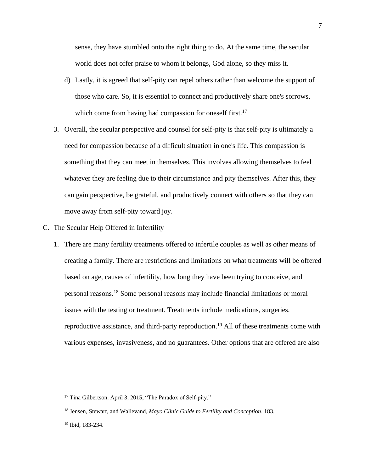sense, they have stumbled onto the right thing to do. At the same time, the secular world does not offer praise to whom it belongs, God alone, so they miss it.

- d) Lastly, it is agreed that self-pity can repel others rather than welcome the support of those who care. So, it is essential to connect and productively share one's sorrows, which come from having had compassion for oneself first.<sup>17</sup>
- 3. Overall, the secular perspective and counsel for self-pity is that self-pity is ultimately a need for compassion because of a difficult situation in one's life. This compassion is something that they can meet in themselves. This involves allowing themselves to feel whatever they are feeling due to their circumstance and pity themselves. After this, they can gain perspective, be grateful, and productively connect with others so that they can move away from self-pity toward joy.
- C. The Secular Help Offered in Infertility
	- 1. There are many fertility treatments offered to infertile couples as well as other means of creating a family. There are restrictions and limitations on what treatments will be offered based on age, causes of infertility, how long they have been trying to conceive, and personal reasons.<sup>18</sup> Some personal reasons may include financial limitations or moral issues with the testing or treatment. Treatments include medications, surgeries, reproductive assistance, and third-party reproduction.<sup>19</sup> All of these treatments come with various expenses, invasiveness, and no guarantees. Other options that are offered are also

<sup>&</sup>lt;sup>17</sup> Tina Gilbertson, April 3, 2015, "The Paradox of Self-pity."

<sup>18</sup> Jensen, Stewart, and Wallevand, *Mayo Clinic Guide to Fertility and Conception*, 183.

<sup>19</sup> Ibid, 183-234.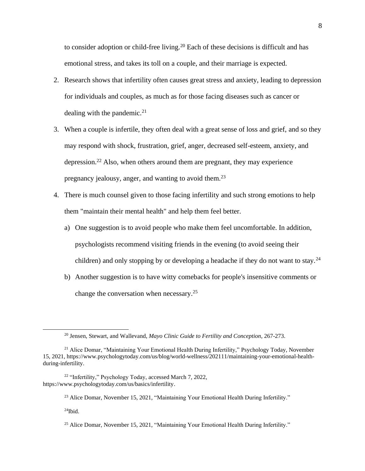to consider adoption or child-free living.<sup>20</sup> Each of these decisions is difficult and has emotional stress, and takes its toll on a couple, and their marriage is expected.

- 2. Research shows that infertility often causes great stress and anxiety, leading to depression for individuals and couples, as much as for those facing diseases such as cancer or dealing with the pandemic.<sup>21</sup>
- 3. When a couple is infertile, they often deal with a great sense of loss and grief, and so they may respond with shock, frustration, grief, anger, decreased self-esteem, anxiety, and depression.<sup>22</sup> Also, when others around them are pregnant, they may experience pregnancy jealousy, anger, and wanting to avoid them.<sup>23</sup>
- 4. There is much counsel given to those facing infertility and such strong emotions to help them "maintain their mental health" and help them feel better.
	- a) One suggestion is to avoid people who make them feel uncomfortable. In addition, psychologists recommend visiting friends in the evening (to avoid seeing their children) and only stopping by or developing a headache if they do not want to stay.<sup>24</sup>
	- b) Another suggestion is to have witty comebacks for people's insensitive comments or change the conversation when necessary.<sup>25</sup>

<sup>22</sup> "Infertility," Psychology Today, accessed March 7, 2022, [https://www.psychologytoday.com/us/basics/infertility.](https://www.psychologytoday.com/us/basics/infertility)

 $^{24}$ Ibid.

<sup>20</sup> Jensen, Stewart, and Wallevand, *Mayo Clinic Guide to Fertility and Conception*, 267-273.

<sup>&</sup>lt;sup>21</sup> Alice Domar, "Maintaining Your Emotional Health During Infertility," Psychology Today, November 15, 2021, [https://www.psychologytoday.com/us/blog/world-wellness/202111/maintaining-your-emotional-health](https://www.psychologytoday.com/us/blog/world-wellness/202111/maintaining-your-emotional-health-during-infertility)[during-infertility.](https://www.psychologytoday.com/us/blog/world-wellness/202111/maintaining-your-emotional-health-during-infertility)

<sup>&</sup>lt;sup>23</sup> Alice Domar, November 15, 2021, "Maintaining Your Emotional Health During Infertility."

<sup>&</sup>lt;sup>25</sup> Alice Domar, November 15, 2021, "Maintaining Your Emotional Health During Infertility."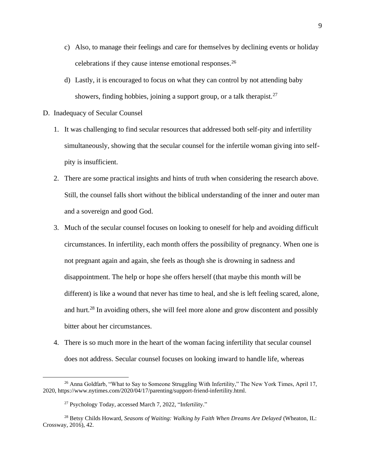- c) Also, to manage their feelings and care for themselves by declining events or holiday celebrations if they cause intense emotional responses.<sup>26</sup>
- d) Lastly, it is encouraged to focus on what they can control by not attending baby showers, finding hobbies, joining a support group, or a talk therapist.<sup>27</sup>
- D. Inadequacy of Secular Counsel
	- 1. It was challenging to find secular resources that addressed both self-pity and infertility simultaneously, showing that the secular counsel for the infertile woman giving into selfpity is insufficient.
	- 2. There are some practical insights and hints of truth when considering the research above. Still, the counsel falls short without the biblical understanding of the inner and outer man and a sovereign and good God.
	- 3. Much of the secular counsel focuses on looking to oneself for help and avoiding difficult circumstances. In infertility, each month offers the possibility of pregnancy. When one is not pregnant again and again, she feels as though she is drowning in sadness and disappointment. The help or hope she offers herself (that maybe this month will be different) is like a wound that never has time to heal, and she is left feeling scared, alone, and hurt.<sup>28</sup> In avoiding others, she will feel more alone and grow discontent and possibly bitter about her circumstances.
	- 4. There is so much more in the heart of the woman facing infertility that secular counsel does not address. Secular counsel focuses on looking inward to handle life, whereas

 $^{26}$  Anna Goldfarb, "What to Say to Someone Struggling With Infertility," The New York Times, April 17, 2020, [https://www.nytimes.com/2020/04/17/parenting/support-friend-infertility.html.](https://www.nytimes.com/2020/04/17/parenting/support-friend-infertility.html)

<sup>27</sup> Psychology Today, accessed March 7, 2022, "Infertility."

<sup>28</sup> Betsy Childs Howard, *Seasons of Waiting: Walking by Faith When Dreams Are Delayed* (Wheaton, IL: Crossway, 2016), 42.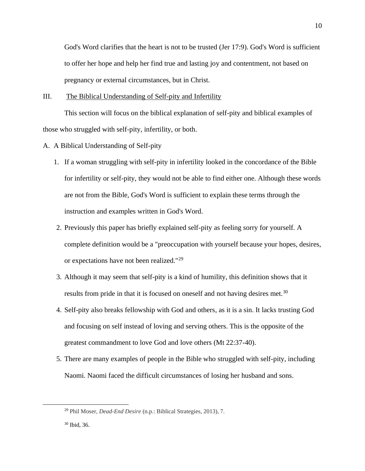God's Word clarifies that the heart is not to be trusted (Jer 17:9). God's Word is sufficient to offer her hope and help her find true and lasting joy and contentment, not based on pregnancy or external circumstances, but in Christ.

#### III. The Biblical Understanding of Self-pity and Infertility

This section will focus on the biblical explanation of self-pity and biblical examples of those who struggled with self-pity, infertility, or both.

- A. A Biblical Understanding of Self-pity
	- 1. If a woman struggling with self-pity in infertility looked in the concordance of the Bible for infertility or self-pity, they would not be able to find either one. Although these words are not from the Bible, God's Word is sufficient to explain these terms through the instruction and examples written in God's Word.
	- 2. Previously this paper has briefly explained self-pity as feeling sorry for yourself. A complete definition would be a "preoccupation with yourself because your hopes, desires, or expectations have not been realized."<sup>29</sup>
	- 3. Although it may seem that self-pity is a kind of humility, this definition shows that it results from pride in that it is focused on oneself and not having desires met.<sup>30</sup>
	- 4. Self-pity also breaks fellowship with God and others, as it is a sin. It lacks trusting God and focusing on self instead of loving and serving others. This is the opposite of the greatest commandment to love God and love others (Mt 22:37-40).
	- 5. There are many examples of people in the Bible who struggled with self-pity, including Naomi. Naomi faced the difficult circumstances of losing her husband and sons.

<sup>29</sup> Phil Moser, *Dead-End Desire* (n.p.: Biblical Strategies, 2013), 7.

<sup>30</sup> Ibid, 36.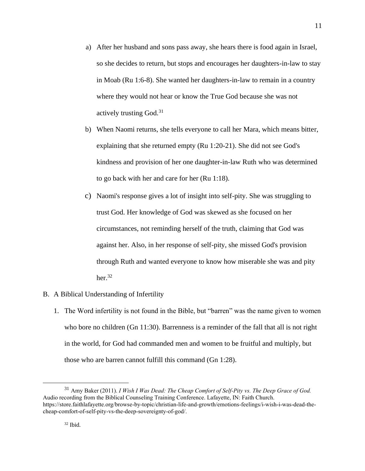- a) After her husband and sons pass away, she hears there is food again in Israel, so she decides to return, but stops and encourages her daughters-in-law to stay in Moab (Ru 1:6-8). She wanted her daughters-in-law to remain in a country where they would not hear or know the True God because she was not actively trusting  $God.<sup>31</sup>$
- b) When Naomi returns, she tells everyone to call her Mara, which means bitter, explaining that she returned empty (Ru 1:20-21). She did not see God's kindness and provision of her one daughter-in-law Ruth who was determined to go back with her and care for her (Ru 1:18).
- c) Naomi's response gives a lot of insight into self-pity. She was struggling to trust God. Her knowledge of God was skewed as she focused on her circumstances, not reminding herself of the truth, claiming that God was against her. Also, in her response of self-pity, she missed God's provision through Ruth and wanted everyone to know how miserable she was and pity her. $32$

# B. A Biblical Understanding of Infertility

1. The Word infertility is not found in the Bible, but "barren" was the name given to women who bore no children (Gn 11:30). Barrenness is a reminder of the fall that all is not right in the world, for God had commanded men and women to be fruitful and multiply, but those who are barren cannot fulfill this command (Gn 1:28).

<sup>31</sup> Amy Baker (2011). *I Wish I Was Dead: The Cheap Comfort of Self-Pity vs. The Deep Grace of God.*  Audio recording from the Biblical Counseling Training Conference. Lafayette, IN: Faith Church. https://store.faithlafayette.org/browse-by-topic/christian-life-and-growth/emotions-feelings/i-wish-i-was-dead-thecheap-comfort-of-self-pity-vs-the-deep-sovereignty-of-god/.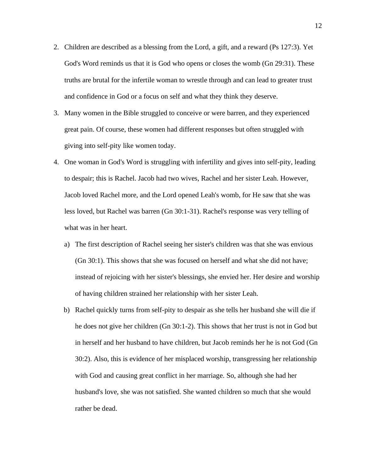- 2. Children are described as a blessing from the Lord, a gift, and a reward (Ps 127:3). Yet God's Word reminds us that it is God who opens or closes the womb (Gn 29:31). These truths are brutal for the infertile woman to wrestle through and can lead to greater trust and confidence in God or a focus on self and what they think they deserve.
- 3. Many women in the Bible struggled to conceive or were barren, and they experienced great pain. Of course, these women had different responses but often struggled with giving into self-pity like women today.
- 4. One woman in God's Word is struggling with infertility and gives into self-pity, leading to despair; this is Rachel. Jacob had two wives, Rachel and her sister Leah. However, Jacob loved Rachel more, and the Lord opened Leah's womb, for He saw that she was less loved, but Rachel was barren (Gn 30:1-31). Rachel's response was very telling of what was in her heart.
	- a) The first description of Rachel seeing her sister's children was that she was envious (Gn 30:1). This shows that she was focused on herself and what she did not have; instead of rejoicing with her sister's blessings, she envied her. Her desire and worship of having children strained her relationship with her sister Leah.
	- b) Rachel quickly turns from self-pity to despair as she tells her husband she will die if he does not give her children (Gn 30:1-2). This shows that her trust is not in God but in herself and her husband to have children, but Jacob reminds her he is not God (Gn 30:2). Also, this is evidence of her misplaced worship, transgressing her relationship with God and causing great conflict in her marriage. So, although she had her husband's love, she was not satisfied. She wanted children so much that she would rather be dead.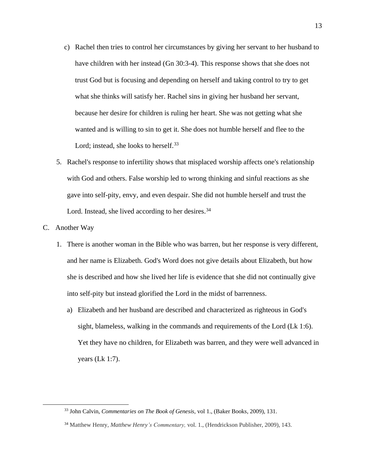- c) Rachel then tries to control her circumstances by giving her servant to her husband to have children with her instead (Gn 30:3-4). This response shows that she does not trust God but is focusing and depending on herself and taking control to try to get what she thinks will satisfy her. Rachel sins in giving her husband her servant, because her desire for children is ruling her heart. She was not getting what she wanted and is willing to sin to get it. She does not humble herself and flee to the Lord; instead, she looks to herself.<sup>33</sup>
- 5. Rachel's response to infertility shows that misplaced worship affects one's relationship with God and others. False worship led to wrong thinking and sinful reactions as she gave into self-pity, envy, and even despair. She did not humble herself and trust the Lord. Instead, she lived according to her desires.<sup>34</sup>

# C. Another Way

- 1. There is another woman in the Bible who was barren, but her response is very different, and her name is Elizabeth. God's Word does not give details about Elizabeth, but how she is described and how she lived her life is evidence that she did not continually give into self-pity but instead glorified the Lord in the midst of barrenness.
	- a) Elizabeth and her husband are described and characterized as righteous in God's sight, blameless, walking in the commands and requirements of the Lord (Lk 1:6). Yet they have no children, for Elizabeth was barren, and they were well advanced in years (Lk 1:7).

<sup>33</sup> John Calvin, *Commentaries on The Book of Genesis,* vol 1., (Baker Books, 2009), 131.

<sup>34</sup> Matthew Henry, *Matthew Henry's Commentary,* vol. 1., (Hendrickson Publisher, 2009), 143.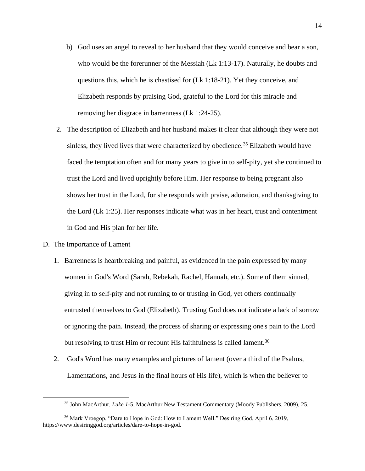- b) God uses an angel to reveal to her husband that they would conceive and bear a son, who would be the forerunner of the Messiah (Lk 1:13-17). Naturally, he doubts and questions this, which he is chastised for (Lk 1:18-21). Yet they conceive, and Elizabeth responds by praising God, grateful to the Lord for this miracle and removing her disgrace in barrenness (Lk 1:24-25).
- 2. The description of Elizabeth and her husband makes it clear that although they were not sinless, they lived lives that were characterized by obedience.<sup>35</sup> Elizabeth would have faced the temptation often and for many years to give in to self-pity, yet she continued to trust the Lord and lived uprightly before Him. Her response to being pregnant also shows her trust in the Lord, for she responds with praise, adoration, and thanksgiving to the Lord (Lk 1:25). Her responses indicate what was in her heart, trust and contentment in God and His plan for her life.
- D. The Importance of Lament
	- 1. Barrenness is heartbreaking and painful, as evidenced in the pain expressed by many women in God's Word (Sarah, Rebekah, Rachel, Hannah, etc.). Some of them sinned, giving in to self-pity and not running to or trusting in God, yet others continually entrusted themselves to God (Elizabeth). Trusting God does not indicate a lack of sorrow or ignoring the pain. Instead, the process of sharing or expressing one's pain to the Lord but resolving to trust Him or recount His faithfulness is called lament.<sup>36</sup>
	- 2. God's Word has many examples and pictures of lament (over a third of the Psalms, Lamentations, and Jesus in the final hours of His life), which is when the believer to

<sup>35</sup> John MacArthur, *Luke 1-*5, MacArthur New Testament Commentary (Moody Publishers, 2009), 25.

<sup>36</sup> Mark Vroegop, "Dare to Hope in God: How to Lament Well." Desiring God, April 6, 2019, [https://www.desiringgod.org/articles/dare-to-hope-in-god.](https://www.desiringgod.org/articles/dare-to-hope-in-god)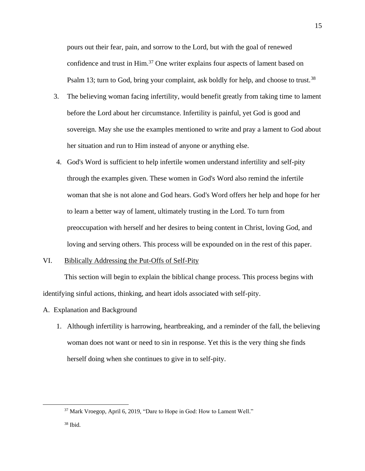pours out their fear, pain, and sorrow to the Lord, but with the goal of renewed confidence and trust in Him.<sup>37</sup> One writer explains four aspects of lament based on Psalm 13; turn to God, bring your complaint, ask boldly for help, and choose to trust.<sup>38</sup>

- 3. The believing woman facing infertility, would benefit greatly from taking time to lament before the Lord about her circumstance. Infertility is painful, yet God is good and sovereign. May she use the examples mentioned to write and pray a lament to God about her situation and run to Him instead of anyone or anything else.
- 4. God's Word is sufficient to help infertile women understand infertility and self-pity through the examples given. These women in God's Word also remind the infertile woman that she is not alone and God hears. God's Word offers her help and hope for her to learn a better way of lament, ultimately trusting in the Lord. To turn from preoccupation with herself and her desires to being content in Christ, loving God, and loving and serving others. This process will be expounded on in the rest of this paper.

# VI. Biblically Addressing the Put-Offs of Self-Pity

This section will begin to explain the biblical change process. This process begins with identifying sinful actions, thinking, and heart idols associated with self-pity.

#### A. Explanation and Background

1. Although infertility is harrowing, heartbreaking, and a reminder of the fall, the believing woman does not want or need to sin in response. Yet this is the very thing she finds herself doing when she continues to give in to self-pity.

<sup>37</sup> Mark Vroegop, April 6, 2019, "Dare to Hope in God: How to Lament Well."

 $38$  Ibid.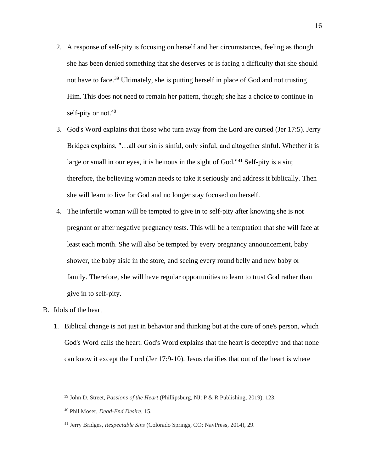- 2. A response of self-pity is focusing on herself and her circumstances, feeling as though she has been denied something that she deserves or is facing a difficulty that she should not have to face.<sup>39</sup> Ultimately, she is putting herself in place of God and not trusting Him. This does not need to remain her pattern, though; she has a choice to continue in self-pity or not.<sup>40</sup>
- 3. God's Word explains that those who turn away from the Lord are cursed (Jer 17:5). Jerry Bridges explains, "…all our sin is sinful, only sinful, and altogether sinful. Whether it is large or small in our eyes, it is heinous in the sight of God."<sup>41</sup> Self-pity is a sin; therefore, the believing woman needs to take it seriously and address it biblically. Then she will learn to live for God and no longer stay focused on herself.
- 4. The infertile woman will be tempted to give in to self-pity after knowing she is not pregnant or after negative pregnancy tests. This will be a temptation that she will face at least each month. She will also be tempted by every pregnancy announcement, baby shower, the baby aisle in the store, and seeing every round belly and new baby or family. Therefore, she will have regular opportunities to learn to trust God rather than give in to self-pity.
- B. Idols of the heart
	- 1. Biblical change is not just in behavior and thinking but at the core of one's person, which God's Word calls the heart. God's Word explains that the heart is deceptive and that none can know it except the Lord (Jer 17:9-10). Jesus clarifies that out of the heart is where

<sup>39</sup> John D. Street, *Passions of the Heart* (Phillipsburg, NJ: P & R Publishing, 2019), 123.

<sup>40</sup> Phil Moser, *Dead-End Desire*, 15.

<sup>41</sup> Jerry Bridges, *Respectable Sins* (Colorado Springs, CO: NavPress, 2014), 29.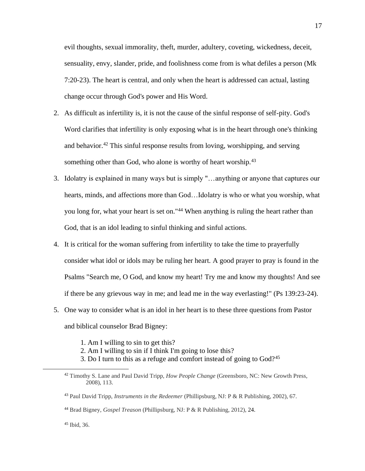evil thoughts, sexual immorality, theft, murder, adultery, coveting, wickedness, deceit, sensuality, envy, slander, pride, and foolishness come from is what defiles a person (Mk 7:20-23). The heart is central, and only when the heart is addressed can actual, lasting change occur through God's power and His Word.

- 2. As difficult as infertility is, it is not the cause of the sinful response of self-pity. God's Word clarifies that infertility is only exposing what is in the heart through one's thinking and behavior.<sup>42</sup> This sinful response results from loving, worshipping, and serving something other than God, who alone is worthy of heart worship.<sup>43</sup>
- 3. Idolatry is explained in many ways but is simply "…anything or anyone that captures our hearts, minds, and affections more than God…Idolatry is who or what you worship, what you long for, what your heart is set on."<sup>44</sup> When anything is ruling the heart rather than God, that is an idol leading to sinful thinking and sinful actions.
- 4. It is critical for the woman suffering from infertility to take the time to prayerfully consider what idol or idols may be ruling her heart. A good prayer to pray is found in the Psalms "Search me, O God, and know my heart! Try me and know my thoughts! And see if there be any grievous way in me; and lead me in the way everlasting!" (Ps 139:23-24).
- 5. One way to consider what is an idol in her heart is to these three questions from Pastor and biblical counselor Brad Bigney:
	- 1. Am I willing to sin to get this?
	- 2. Am I willing to sin if I think I'm going to lose this?
	- 3. Do I turn to this as a refuge and comfort instead of going to  $God<sup>245</sup>$

<sup>45</sup> Ibid, 36.

<sup>42</sup> Timothy S. Lane and Paul David Tripp, *How People Change* (Greensboro, NC: New Growth Press, 2008), 113.

<sup>43</sup> Paul David Tripp, *Instruments in the Redeemer* (Phillipsburg, NJ: P & R Publishing, 2002), 67.

<sup>44</sup> Brad Bigney, *Gospel Treason* (Phillipsburg, NJ: P & R Publishing, 2012), 24.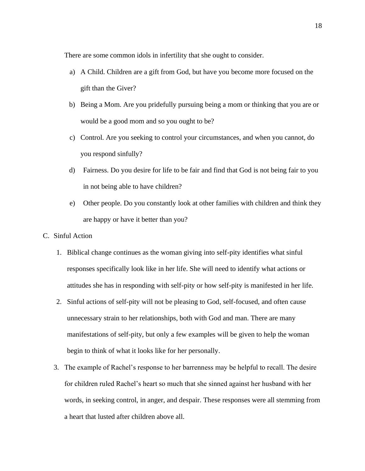There are some common idols in infertility that she ought to consider.

- a) A Child. Children are a gift from God, but have you become more focused on the gift than the Giver?
- b) Being a Mom. Are you pridefully pursuing being a mom or thinking that you are or would be a good mom and so you ought to be?
- c) Control. Are you seeking to control your circumstances, and when you cannot, do you respond sinfully?
- d) Fairness. Do you desire for life to be fair and find that God is not being fair to you in not being able to have children?
- e) Other people. Do you constantly look at other families with children and think they are happy or have it better than you?
- C. Sinful Action
	- 1. Biblical change continues as the woman giving into self-pity identifies what sinful responses specifically look like in her life. She will need to identify what actions or attitudes she has in responding with self-pity or how self-pity is manifested in her life.
	- 2. Sinful actions of self-pity will not be pleasing to God, self-focused, and often cause unnecessary strain to her relationships, both with God and man. There are many manifestations of self-pity, but only a few examples will be given to help the woman begin to think of what it looks like for her personally.
	- 3. The example of Rachel's response to her barrenness may be helpful to recall. The desire for children ruled Rachel's heart so much that she sinned against her husband with her words, in seeking control, in anger, and despair. These responses were all stemming from a heart that lusted after children above all.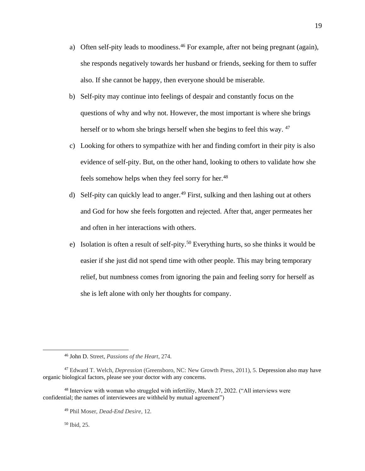- a) Often self-pity leads to moodiness.<sup>46</sup> For example, after not being pregnant (again), she responds negatively towards her husband or friends, seeking for them to suffer also. If she cannot be happy, then everyone should be miserable.
- b) Self-pity may continue into feelings of despair and constantly focus on the questions of why and why not. However, the most important is where she brings herself or to whom she brings herself when she begins to feel this way. <sup>47</sup>
- c) Looking for others to sympathize with her and finding comfort in their pity is also evidence of self-pity. But, on the other hand, looking to others to validate how she feels somehow helps when they feel sorry for her.<sup>48</sup>
- d) Self-pity can quickly lead to anger.<sup>49</sup> First, sulking and then lashing out at others and God for how she feels forgotten and rejected. After that, anger permeates her and often in her interactions with others.
- e) Isolation is often a result of self-pity.<sup>50</sup> Everything hurts, so she thinks it would be easier if she just did not spend time with other people. This may bring temporary relief, but numbness comes from ignoring the pain and feeling sorry for herself as she is left alone with only her thoughts for company.

<sup>50</sup> Ibid, 25.

<sup>46</sup> John D. Street, *Passions of the Heart*, 274.

<sup>47</sup> Edward T. Welch, *Depression* (Greensboro, NC: New Growth Press, 2011), 5. Depression also may have organic biological factors, please see your doctor with any concerns.

<sup>&</sup>lt;sup>48</sup> Interview with woman who struggled with infertility, March 27, 2022. ("All interviews were confidential; the names of interviewees are withheld by mutual agreement")

<sup>49</sup> Phil Moser, *Dead-End Desire*, 12.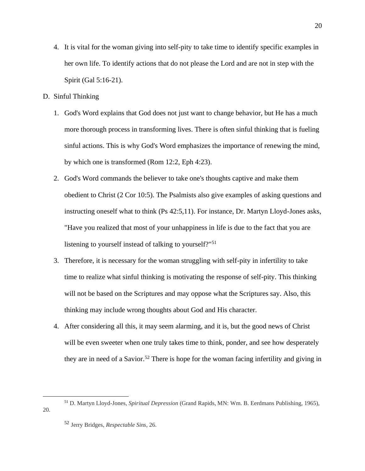- 4. It is vital for the woman giving into self-pity to take time to identify specific examples in her own life. To identify actions that do not please the Lord and are not in step with the Spirit (Gal 5:16-21).
- D. Sinful Thinking
	- 1. God's Word explains that God does not just want to change behavior, but He has a much more thorough process in transforming lives. There is often sinful thinking that is fueling sinful actions. This is why God's Word emphasizes the importance of renewing the mind, by which one is transformed (Rom 12:2, Eph 4:23).
	- 2. God's Word commands the believer to take one's thoughts captive and make them obedient to Christ (2 Cor 10:5). The Psalmists also give examples of asking questions and instructing oneself what to think (Ps 42:5,11). For instance, Dr. Martyn Lloyd-Jones asks, "Have you realized that most of your unhappiness in life is due to the fact that you are listening to yourself instead of talking to yourself?"<sup>51</sup>
	- 3. Therefore, it is necessary for the woman struggling with self-pity in infertility to take time to realize what sinful thinking is motivating the response of self-pity. This thinking will not be based on the Scriptures and may oppose what the Scriptures say. Also, this thinking may include wrong thoughts about God and His character.
	- 4. After considering all this, it may seem alarming, and it is, but the good news of Christ will be even sweeter when one truly takes time to think, ponder, and see how desperately they are in need of a Savior.<sup>52</sup> There is hope for the woman facing infertility and giving in

<sup>51</sup> D. Martyn Lloyd-Jones, *Spiritual Depression* (Grand Rapids, MN: Wm. B. Eerdmans Publishing, 1965), 20.

<sup>52</sup> Jerry Bridges, *Respectable Sins*, 26.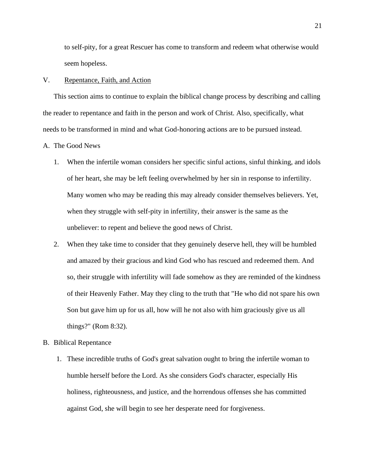to self-pity, for a great Rescuer has come to transform and redeem what otherwise would seem hopeless.

#### V. Repentance, Faith, and Action

This section aims to continue to explain the biblical change process by describing and calling the reader to repentance and faith in the person and work of Christ. Also, specifically, what needs to be transformed in mind and what God-honoring actions are to be pursued instead.

#### A. The Good News

- 1. When the infertile woman considers her specific sinful actions, sinful thinking, and idols of her heart, she may be left feeling overwhelmed by her sin in response to infertility. Many women who may be reading this may already consider themselves believers. Yet, when they struggle with self-pity in infertility, their answer is the same as the unbeliever: to repent and believe the good news of Christ.
- 2. When they take time to consider that they genuinely deserve hell, they will be humbled and amazed by their gracious and kind God who has rescued and redeemed them. And so, their struggle with infertility will fade somehow as they are reminded of the kindness of their Heavenly Father. May they cling to the truth that "He who did not spare his own Son but gave him up for us all, how will he not also with him graciously give us all things?" (Rom 8:32).

#### B. Biblical Repentance

1. These incredible truths of God's great salvation ought to bring the infertile woman to humble herself before the Lord. As she considers God's character, especially His holiness, righteousness, and justice, and the horrendous offenses she has committed against God, she will begin to see her desperate need for forgiveness.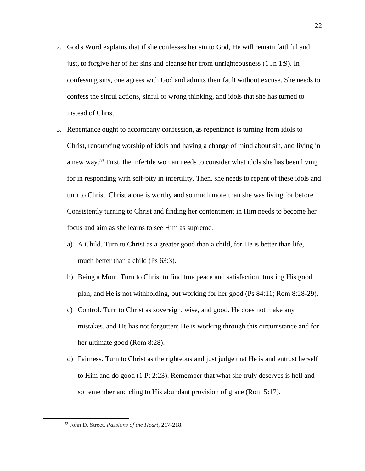- 2. God's Word explains that if she confesses her sin to God, He will remain faithful and just, to forgive her of her sins and cleanse her from unrighteousness (1 Jn 1:9). In confessing sins, one agrees with God and admits their fault without excuse. She needs to confess the sinful actions, sinful or wrong thinking, and idols that she has turned to instead of Christ.
- 3. Repentance ought to accompany confession, as repentance is turning from idols to Christ, renouncing worship of idols and having a change of mind about sin, and living in a new way.<sup>53</sup> First, the infertile woman needs to consider what idols she has been living for in responding with self-pity in infertility. Then, she needs to repent of these idols and turn to Christ. Christ alone is worthy and so much more than she was living for before. Consistently turning to Christ and finding her contentment in Him needs to become her focus and aim as she learns to see Him as supreme.
	- a) A Child. Turn to Christ as a greater good than a child, for He is better than life, much better than a child (Ps 63:3).
	- b) Being a Mom. Turn to Christ to find true peace and satisfaction, trusting His good plan, and He is not withholding, but working for her good (Ps 84:11; Rom 8:28-29).
	- c) Control. Turn to Christ as sovereign, wise, and good. He does not make any mistakes, and He has not forgotten; He is working through this circumstance and for her ultimate good (Rom 8:28).
	- d) Fairness. Turn to Christ as the righteous and just judge that He is and entrust herself to Him and do good (1 Pt 2:23). Remember that what she truly deserves is hell and so remember and cling to His abundant provision of grace (Rom 5:17).

<sup>53</sup> John D. Street, *Passions of the Heart*, 217-218.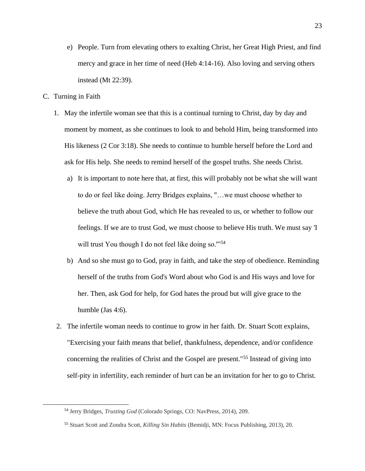- e) People. Turn from elevating others to exalting Christ, her Great High Priest, and find mercy and grace in her time of need (Heb 4:14-16). Also loving and serving others instead (Mt 22:39).
- C. Turning in Faith
	- 1. May the infertile woman see that this is a continual turning to Christ, day by day and moment by moment, as she continues to look to and behold Him, being transformed into His likeness (2 Cor 3:18). She needs to continue to humble herself before the Lord and ask for His help. She needs to remind herself of the gospel truths. She needs Christ.
		- a) It is important to note here that, at first, this will probably not be what she will want to do or feel like doing. Jerry Bridges explains, "…we must choose whether to believe the truth about God, which He has revealed to us, or whether to follow our feelings. If we are to trust God, we must choose to believe His truth. We must say 'I will trust You though I do not feel like doing so."<sup>54</sup>
		- b) And so she must go to God, pray in faith, and take the step of obedience. Reminding herself of the truths from God's Word about who God is and His ways and love for her. Then, ask God for help, for God hates the proud but will give grace to the humble (Jas 4:6).
	- 2. The infertile woman needs to continue to grow in her faith. Dr. Stuart Scott explains, "Exercising your faith means that belief, thankfulness, dependence, and/or confidence concerning the realities of Christ and the Gospel are present."<sup>55</sup> Instead of giving into self-pity in infertility, each reminder of hurt can be an invitation for her to go to Christ.

<sup>54</sup> Jerry Bridges, *Trusting God* (Colorado Springs, CO: NavPress, 2014), 209.

<sup>55</sup> Stuart Scott and Zondra Scott, *Killing Sin Habits* (Bemidji, MN: Focus Publishing, 2013), 20.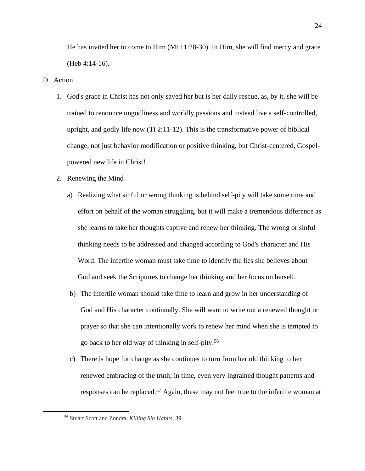He has invited her to come to Him (Mt 11:28-30). In Him, she will find mercy and grace (Heb 4:14-16).

#### D. Action

- 1. God's grace in Christ has not only saved her but is her daily rescue, as, by it, she will be trained to renounce ungodliness and worldly passions and instead live a self-controlled, upright, and godly life now (Ti 2:11-12). This is the transformative power of biblical change, not just behavior modification or positive thinking, but Christ-centered, Gospelpowered new life in Christ!
- 2. Renewing the Mind
	- a) Realizing what sinful or wrong thinking is behind self-pity will take some time and effort on behalf of the woman struggling, but it will make a tremendous difference as she learns to take her thoughts captive and renew her thinking. The wrong or sinful thinking needs to be addressed and changed according to God's character and His Word. The infertile woman must take time to identify the lies she believes about God and seek the Scriptures to change her thinking and her focus on herself.
	- b) The infertile woman should take time to learn and grow in her understanding of God and His character continually. She will want to write out a renewed thought or prayer so that she can intentionally work to renew her mind when she is tempted to go back to her old way of thinking in self-pity.<sup>56</sup>
	- c) There is hope for change as she continues to turn from her old thinking to her renewed embracing of the truth; in time, even very ingrained thought patterns and responses can be replaced.<sup>57</sup> Again, these may not feel true to the infertile woman at

<sup>56</sup> Stuart Scott and Zondra, *Killing Sin Habits*, 39.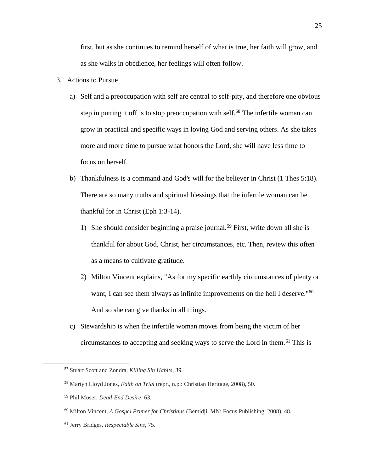first, but as she continues to remind herself of what is true, her faith will grow, and as she walks in obedience, her feelings will often follow.

- 3. Actions to Pursue
	- a) Self and a preoccupation with self are central to self-pity, and therefore one obvious step in putting it off is to stop preoccupation with self.<sup>58</sup> The infertile woman can grow in practical and specific ways in loving God and serving others. As she takes more and more time to pursue what honors the Lord, she will have less time to focus on herself.
	- b) Thankfulness is a command and God's will for the believer in Christ (1 Thes 5:18). There are so many truths and spiritual blessings that the infertile woman can be thankful for in Christ (Eph 1:3-14).
		- 1) She should consider beginning a praise journal.<sup>59</sup> First, write down all she is thankful for about God, Christ, her circumstances, etc. Then, review this often as a means to cultivate gratitude.
		- 2) Milton Vincent explains, "As for my specific earthly circumstances of plenty or want, I can see them always as infinite improvements on the hell I deserve."<sup>60</sup> And so she can give thanks in all things.
	- c) Stewardship is when the infertile woman moves from being the victim of her circumstances to accepting and seeking ways to serve the Lord in them.<sup>61</sup> This is

<sup>57</sup> Stuart Scott and Zondra, *Killing Sin Habits*, 39.

<sup>58</sup> Martyn Lloyd Jones, *Faith on Trial* (repr., n.p.: Christian Heritage, 2008), 50.

<sup>59</sup> Phil Moser, *Dead-End Desire*, 63.

<sup>60</sup> Milton Vincent, *A Gospel Primer for Christians* (Bemidji, MN: Focus Publishing, 2008), 48.

<sup>61</sup> Jerry Bridges, *Respectable Sins*, 75.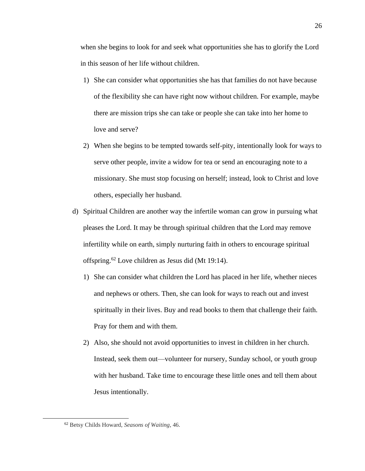when she begins to look for and seek what opportunities she has to glorify the Lord in this season of her life without children.

- 1) She can consider what opportunities she has that families do not have because of the flexibility she can have right now without children. For example, maybe there are mission trips she can take or people she can take into her home to love and serve?
- 2) When she begins to be tempted towards self-pity, intentionally look for ways to serve other people, invite a widow for tea or send an encouraging note to a missionary. She must stop focusing on herself; instead, look to Christ and love others, especially her husband.
- d) Spiritual Children are another way the infertile woman can grow in pursuing what pleases the Lord. It may be through spiritual children that the Lord may remove infertility while on earth, simply nurturing faith in others to encourage spiritual offspring.<sup>62</sup> Love children as Jesus did (Mt 19:14).
	- 1) She can consider what children the Lord has placed in her life, whether nieces and nephews or others. Then, she can look for ways to reach out and invest spiritually in their lives. Buy and read books to them that challenge their faith. Pray for them and with them.
	- 2) Also, she should not avoid opportunities to invest in children in her church. Instead, seek them out—volunteer for nursery, Sunday school, or youth group with her husband. Take time to encourage these little ones and tell them about Jesus intentionally.

<sup>62</sup> Betsy Childs Howard, *Seasons of Waiting*, 46.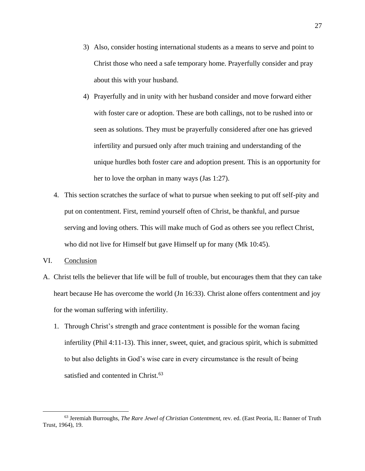- 3) Also, consider hosting international students as a means to serve and point to Christ those who need a safe temporary home. Prayerfully consider and pray about this with your husband.
- 4) Prayerfully and in unity with her husband consider and move forward either with foster care or adoption. These are both callings, not to be rushed into or seen as solutions. They must be prayerfully considered after one has grieved infertility and pursued only after much training and understanding of the unique hurdles both foster care and adoption present. This is an opportunity for her to love the orphan in many ways (Jas 1:27).
- 4. This section scratches the surface of what to pursue when seeking to put off self-pity and put on contentment. First, remind yourself often of Christ, be thankful, and pursue serving and loving others. This will make much of God as others see you reflect Christ, who did not live for Himself but gave Himself up for many (Mk 10:45).
- VI. Conclusion
- A. Christ tells the believer that life will be full of trouble, but encourages them that they can take heart because He has overcome the world (Jn 16:33). Christ alone offers contentment and joy for the woman suffering with infertility.
	- 1. Through Christ's strength and grace contentment is possible for the woman facing infertility (Phil 4:11-13). This inner, sweet, quiet, and gracious spirit, which is submitted to but also delights in God's wise care in every circumstance is the result of being satisfied and contented in Christ.<sup>63</sup>

<sup>63</sup> Jeremiah Burroughs, *The Rare Jewel of Christian Contentment,* rev. ed. (East Peoria, IL: Banner of Truth Trust, 1964), 19.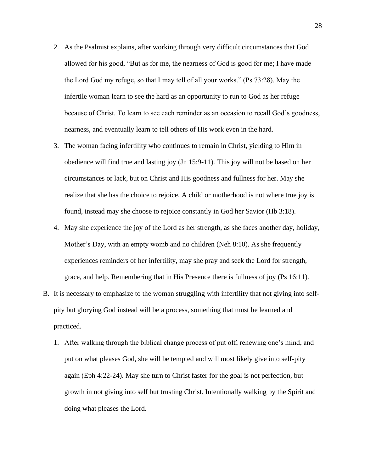- 2. As the Psalmist explains, after working through very difficult circumstances that God allowed for his good, "But as for me, the nearness of God is good for me; I have made the Lord God my refuge, so that I may tell of all your works." (Ps 73:28). May the infertile woman learn to see the hard as an opportunity to run to God as her refuge because of Christ. To learn to see each reminder as an occasion to recall God's goodness, nearness, and eventually learn to tell others of His work even in the hard.
- 3. The woman facing infertility who continues to remain in Christ, yielding to Him in obedience will find true and lasting joy (Jn 15:9-11). This joy will not be based on her circumstances or lack, but on Christ and His goodness and fullness for her. May she realize that she has the choice to rejoice. A child or motherhood is not where true joy is found, instead may she choose to rejoice constantly in God her Savior (Hb 3:18).
- 4. May she experience the joy of the Lord as her strength, as she faces another day, holiday, Mother's Day, with an empty womb and no children (Neh 8:10). As she frequently experiences reminders of her infertility, may she pray and seek the Lord for strength, grace, and help. Remembering that in His Presence there is fullness of joy (Ps 16:11).
- B. It is necessary to emphasize to the woman struggling with infertility that not giving into selfpity but glorying God instead will be a process, something that must be learned and practiced.
	- 1. After walking through the biblical change process of put off, renewing one's mind, and put on what pleases God, she will be tempted and will most likely give into self-pity again (Eph 4:22-24). May she turn to Christ faster for the goal is not perfection, but growth in not giving into self but trusting Christ. Intentionally walking by the Spirit and doing what pleases the Lord.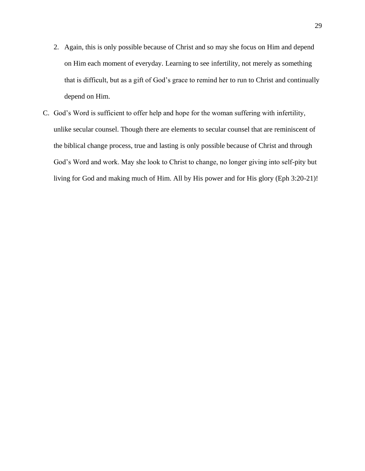- 2. Again, this is only possible because of Christ and so may she focus on Him and depend on Him each moment of everyday. Learning to see infertility, not merely as something that is difficult, but as a gift of God's grace to remind her to run to Christ and continually depend on Him.
- C. God's Word is sufficient to offer help and hope for the woman suffering with infertility, unlike secular counsel. Though there are elements to secular counsel that are reminiscent of the biblical change process, true and lasting is only possible because of Christ and through God's Word and work. May she look to Christ to change, no longer giving into self-pity but living for God and making much of Him. All by His power and for His glory (Eph 3:20-21)!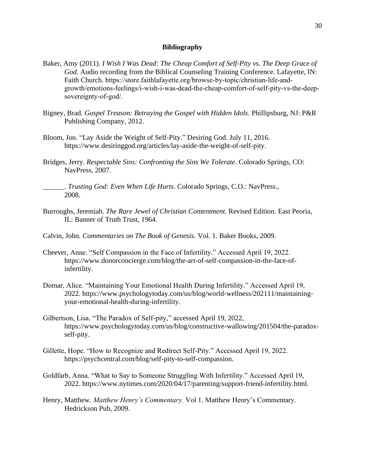# **Bibliography**

- Baker, Amy (2011). *I Wish I Was Dead: The Cheap Comfort of Self-Pity vs. The Deep Grace of God.* Audio recording from the Biblical Counseling Training Conference. Lafayette, IN: Faith Church. [https://store.faithlafayette.org/browse-by-topic/christian-life-and](https://store.faithlafayette.org/browse-by-topic/christian-life-and-)growth/emotions-feelings/i-wish-i-was-dead-the-cheap-comfort-of-self-pity-vs-the-deepsovereignty-of-god/.
- Bigney, Brad. *Gospel Treason: Betraying the Gospel with Hidden Idols*. Phillipsburg, NJ: P&R Publishing Company, 2012.
- Bloom, Jon. "Lay Aside the Weight of Self-Pity." Desiring God. July 11, 2016. https://www.desiringgod.org/articles/lay-aside-the-weight-of-self-pity.
- Bridges, Jerry. *Respectable Sins: Confronting the Sins We Tolerate*. Colorado Springs, CO: NavPress, 2007.
	- \_\_\_\_\_\_. *Trusting God: Even When Life Hurts*. Colorado Springs, C.O.: NavPress., 2008.
- Burroughs, Jeremiah. *The Rare Jewel of Christian Contentment.* Revised Edition. East Peoria, IL: Banner of Truth Trust, 1964.
- Calvin, John. *Commentaries on The Book of Genesis.* Vol. 1. Baker Books, 2009.
- Cheever, Anne. "Self Compassion in the Face of Infertility." Accessed April 19, 2022. [https://www.donorconcierge.com/blog/the-art-of-self-compassion-in-the-face-of](https://www.donorconcierge.com/blog/the-art-of-self-compassion-in-the-face-of-)infertility.
- Domar, Alice. "Maintaining Your Emotional Health During Infertility." Accessed April 19, 2022. [https://www.psychologytoday.com/us/blog/world-wellness/202111/maintaining](https://www.psychologytoday.com/us/blog/world-wellness/202111/maintaining-)your-emotional-health-during-infertility.
- Gilbertson, Lisa. "The Paradox of Self-pity," accessed April 19, 2022, [https://www.psychologytoday.com/us/blog/constructive-wallowing/201504/the-paradox](https://www.psychologytoday.com/us/blog/constructive-wallowing/201504/the-paradox-)self-pity.
- Gillette, Hope. "How to Recognize and Redirect Self-Pity." Accessed April 19, 2022. https://psychcentral.com/blog/self-pity-to-self-compassion.
- Goldfarb, Anna. "What to Say to Someone Struggling With Infertility." Accessed April 19, 2022. https://www.nytimes.com/2020/04/17/parenting/support-friend-infertility.html.
- Henry, Matthew. *Matthew Henry's Commentary.* Vol 1. Matthew Henry's Commentary. Hedrickson Pub, 2009.